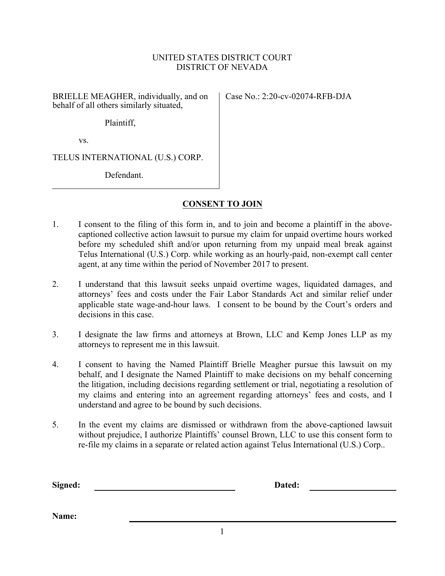## UNITED STATES DISTRICT COURT DISTRICT OF NEVADA

BRIELLE MEAGHER, individually, and on behalf of all others similarly situated,

Case No.: 2:20-cv-02074-RFB-DJA

Plaintiff,

vs.

TELUS INTERNATIONAL (U.S.) CORP.

Defendant.

## **CONSENT TO JOIN**

- 1. I consent to the filing of this form in, and to join and become a plaintiff in the abovecaptioned collective action lawsuit to pursue my claim for unpaid overtime hours worked before my scheduled shift and/or upon returning from my unpaid meal break against Telus International (U.S.) Corp. while working as an hourly-paid, non-exempt call center agent, at any time within the period of November 2017 to present.
- 2. I understand that this lawsuit seeks unpaid overtime wages, liquidated damages, and attorneys' fees and costs under the Fair Labor Standards Act and similar relief under applicable state wage-and-hour laws. I consent to be bound by the Court's orders and decisions in this case.
- 3. I designate the law firms and attorneys at Brown, LLC and Kemp Jones LLP as my attorneys to represent me in this lawsuit.
- 4. I consent to having the Named Plaintiff Brielle Meagher pursue this lawsuit on my behalf, and I designate the Named Plaintiff to make decisions on my behalf concerning the litigation, including decisions regarding settlement or trial, negotiating a resolution of my claims and entering into an agreement regarding attorneys' fees and costs, and I understand and agree to be bound by such decisions.
- 5. In the event my claims are dismissed or withdrawn from the above-captioned lawsuit without prejudice, I authorize Plaintiffs' counsel Brown, LLC to use this consent form to re-file my claims in a separate or related action against Telus International (U.S.) Corp..

**Signed: Dated:**

**Name:**

1